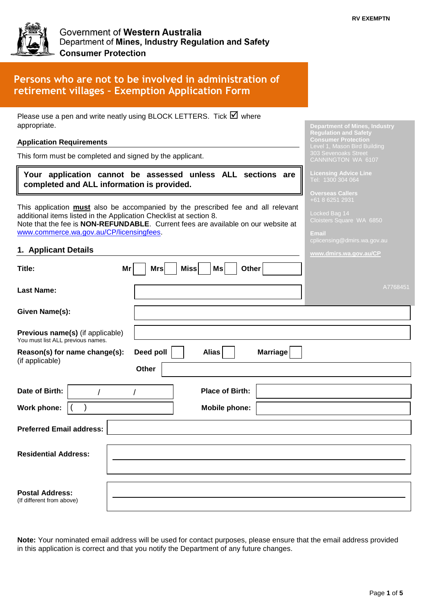**Department of Mines, Industry Regulation and Safety Consumer Protection** Level 1, Mason Bird Building CANNINGTON WA 6107 **Licensing Advice Line**

**Overseas Callers**

Locked Bag 14



# **Persons who are not to be involved in administration of retirement villages – Exemption Application Form**

Please use a pen and write neatly using BLOCK LETTERS. Tick  $\boxtimes$  where appropriate.

#### **Application Requirements**

This form must be completed and signed by the applicant.

#### **Your application cannot be assessed unless ALL sections are completed and ALL information is provided.**

This application **must** also be accompanied by the prescribed fee and all relevant additional items listed in the Application Checklist at section 8. Note that the fee is **NON-REFUNDABLE**. Current fees are available on our website at [www.commerce.wa.gov.au/CP/licensingfees.](http://www.commerce.wa.gov.au/CP/licensingfees)

#### **1. Applicant Details**

| <b>1. Applicatit Details</b>                                          |                                       | www.dmirs.wa.gov.au/CP |
|-----------------------------------------------------------------------|---------------------------------------|------------------------|
| Mr<br>Title:                                                          | Miss<br>Other<br><b>Mrs</b><br>Ms     |                        |
| <b>Last Name:</b>                                                     |                                       | A7768451               |
| Given Name(s):                                                        |                                       |                        |
| Previous name(s) (if applicable)<br>You must list ALL previous names. |                                       |                        |
| Reason(s) for name change(s):<br>(if applicable)                      | Deed poll<br><b>Marriage</b><br>Alias |                        |
|                                                                       | Other                                 |                        |
| Date of Birth:                                                        | <b>Place of Birth:</b>                |                        |
| Work phone:                                                           | <b>Mobile phone:</b>                  |                        |
| <b>Preferred Email address:</b>                                       |                                       |                        |
| <b>Residential Address:</b>                                           |                                       |                        |
| <b>Postal Address:</b><br>(If different from above)                   |                                       |                        |

**Note:** Your nominated email address will be used for contact purposes, please ensure that the email address provided in this application is correct and that you notify the Department of any future changes.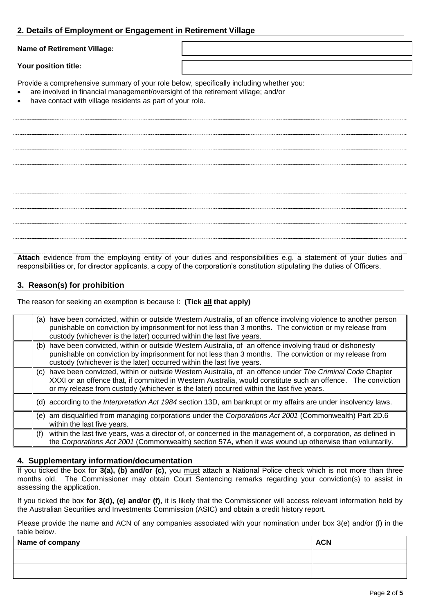# **2. Details of Employment or Engagement in Retirement Village**

**Name of Retirement Village:**

**Your position title:**

Provide a comprehensive summary of your role below, specifically including whether you:

- are involved in financial management/oversight of the retirement village; and/or
- have contact with village residents as part of your role.

**Attach** evidence from the employing entity of your duties and responsibilities e.g. a statement of your duties and responsibilities or, for director applicants, a copy of the corporation's constitution stipulating the duties of Officers.

## **3. Reason(s) for prohibition**

The reason for seeking an exemption is because I: **(Tick all that apply)**

| have been convicted, within or outside Western Australia, of an offence involving violence to another person<br>(a)<br>punishable on conviction by imprisonment for not less than 3 months. The conviction or my release from<br>custody (whichever is the later) occurred within the last five years.                     |  |
|----------------------------------------------------------------------------------------------------------------------------------------------------------------------------------------------------------------------------------------------------------------------------------------------------------------------------|--|
| have been convicted, within or outside Western Australia, of an offence involving fraud or dishonesty<br>(b)<br>punishable on conviction by imprisonment for not less than 3 months. The conviction or my release from<br>custody (whichever is the later) occurred within the last five years.                            |  |
| have been convicted, within or outside Western Australia, of an offence under The Criminal Code Chapter<br>(C)<br>XXXI or an offence that, if committed in Western Australia, would constitute such an offence. The conviction<br>or my release from custody (whichever is the later) occurred within the last five years. |  |
| (d) according to the Interpretation Act 1984 section 13D, am bankrupt or my affairs are under insolvency laws.                                                                                                                                                                                                             |  |
| am disqualified from managing corporations under the Corporations Act 2001 (Commonwealth) Part 2D.6<br>(e)<br>within the last five years.                                                                                                                                                                                  |  |
| within the last five years, was a director of, or concerned in the management of, a corporation, as defined in<br>(f)<br>the Corporations Act 2001 (Commonwealth) section 57A, when it was wound up otherwise than voluntarily.                                                                                            |  |

#### **4. Supplementary information/documentation**

If you ticked the box for **3(a), (b) and/or (c)**, you must attach a National Police check which is not more than three months old. The Commissioner may obtain Court Sentencing remarks regarding your conviction(s) to assist in assessing the application.

If you ticked the box **for 3(d), (e) and/or (f)**, it is likely that the Commissioner will access relevant information held by the Australian Securities and Investments Commission (ASIC) and obtain a credit history report.

Please provide the name and ACN of any companies associated with your nomination under box 3(e) and/or (f) in the table below.

| Name of company | <b>ACN</b> |
|-----------------|------------|
|                 |            |
|                 |            |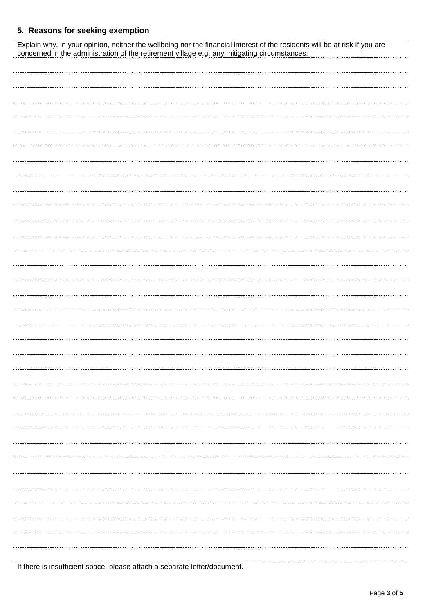# **5. Reasons for seeking exemption**

| Explain why, in your opinion, neither the wellbeing nor the financial interest of the residents will be at risk if you are concerned in the administration of the retirement village e.g. any mitigating circumstances. |  |  |  |
|-------------------------------------------------------------------------------------------------------------------------------------------------------------------------------------------------------------------------|--|--|--|
|                                                                                                                                                                                                                         |  |  |  |
|                                                                                                                                                                                                                         |  |  |  |
|                                                                                                                                                                                                                         |  |  |  |
|                                                                                                                                                                                                                         |  |  |  |
|                                                                                                                                                                                                                         |  |  |  |
|                                                                                                                                                                                                                         |  |  |  |
|                                                                                                                                                                                                                         |  |  |  |
|                                                                                                                                                                                                                         |  |  |  |
|                                                                                                                                                                                                                         |  |  |  |
|                                                                                                                                                                                                                         |  |  |  |
|                                                                                                                                                                                                                         |  |  |  |
|                                                                                                                                                                                                                         |  |  |  |
|                                                                                                                                                                                                                         |  |  |  |
|                                                                                                                                                                                                                         |  |  |  |
|                                                                                                                                                                                                                         |  |  |  |
|                                                                                                                                                                                                                         |  |  |  |
|                                                                                                                                                                                                                         |  |  |  |
|                                                                                                                                                                                                                         |  |  |  |
|                                                                                                                                                                                                                         |  |  |  |
|                                                                                                                                                                                                                         |  |  |  |
|                                                                                                                                                                                                                         |  |  |  |
|                                                                                                                                                                                                                         |  |  |  |
|                                                                                                                                                                                                                         |  |  |  |
|                                                                                                                                                                                                                         |  |  |  |
|                                                                                                                                                                                                                         |  |  |  |
|                                                                                                                                                                                                                         |  |  |  |
|                                                                                                                                                                                                                         |  |  |  |
|                                                                                                                                                                                                                         |  |  |  |
|                                                                                                                                                                                                                         |  |  |  |
|                                                                                                                                                                                                                         |  |  |  |
|                                                                                                                                                                                                                         |  |  |  |
|                                                                                                                                                                                                                         |  |  |  |
|                                                                                                                                                                                                                         |  |  |  |
|                                                                                                                                                                                                                         |  |  |  |
|                                                                                                                                                                                                                         |  |  |  |
|                                                                                                                                                                                                                         |  |  |  |
|                                                                                                                                                                                                                         |  |  |  |
|                                                                                                                                                                                                                         |  |  |  |
|                                                                                                                                                                                                                         |  |  |  |
|                                                                                                                                                                                                                         |  |  |  |
|                                                                                                                                                                                                                         |  |  |  |
|                                                                                                                                                                                                                         |  |  |  |
|                                                                                                                                                                                                                         |  |  |  |
|                                                                                                                                                                                                                         |  |  |  |
|                                                                                                                                                                                                                         |  |  |  |

If there is insufficient space, please attach a separate letter/document.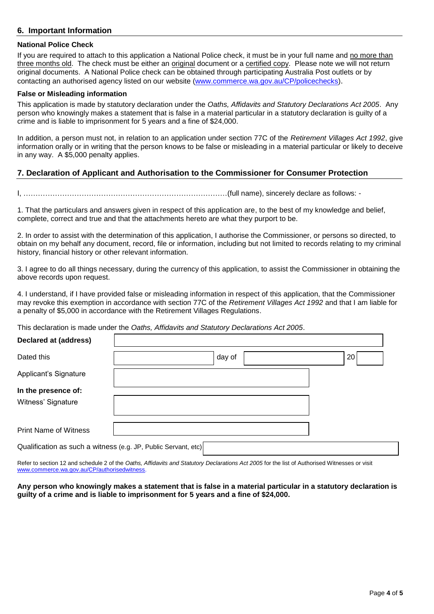#### **6. Important Information**

#### **National Police Check**

If you are required to attach to this application a National Police check, it must be in your full name and no more than three months old. The check must be either an original document or a certified copy. Please note we will not return original documents. A National Police check can be obtained through participating Australia Post outlets or by contacting an authorised agency listed on our website [\(www.commerce.wa.gov.au/CP/policechecks\)](http://www.commerce.wa.gov.au/CP/policechecks).

#### **False or Misleading information**

This application is made by statutory declaration under the *Oaths, Affidavits and Statutory Declarations Act 2005*. Any person who knowingly makes a statement that is false in a material particular in a statutory declaration is guilty of a crime and is liable to imprisonment for 5 years and a fine of \$24,000.

In addition, a person must not, in relation to an application under section 77C of the *Retirement Villages Act 1992*, give information orally or in writing that the person knows to be false or misleading in a material particular or likely to deceive in any way. A \$5,000 penalty applies.

#### **7. Declaration of Applicant and Authorisation to the Commissioner for Consumer Protection**

I, …………………………………………………………………………(full name), sincerely declare as follows: -

1. That the particulars and answers given in respect of this application are, to the best of my knowledge and belief, complete, correct and true and that the attachments hereto are what they purport to be.

2. In order to assist with the determination of this application, I authorise the Commissioner, or persons so directed, to obtain on my behalf any document, record, file or information, including but not limited to records relating to my criminal history, financial history or other relevant information.

3. I agree to do all things necessary, during the currency of this application, to assist the Commissioner in obtaining the above records upon request.

4. I understand, if I have provided false or misleading information in respect of this application, that the Commissioner may revoke this exemption in accordance with section 77C of the *Retirement Villages Act 1992* and that I am liable for a penalty of \$5,000 in accordance with the Retirement Villages Regulations.

This declaration is made under the *Oaths, Affidavits and Statutory Declarations Act 2005*.

| <b>Declared at (address)</b>                                   |        |                 |
|----------------------------------------------------------------|--------|-----------------|
| Dated this                                                     | day of | 20 <sup>1</sup> |
| Applicant's Signature                                          |        |                 |
| In the presence of:<br>Witness' Signature                      |        |                 |
| <b>Print Name of Witness</b>                                   |        |                 |
| Qualification as such a witness (e.g. JP, Public Servant, etc) |        |                 |

Refer to section 12 and schedule 2 of the *Oaths, Affidavits and Statutory Declarations Act 2005* for the list of Authorised Witnesses or visit www.commerce.wa.gov.au/CP/authorisedwitness

**Any person who knowingly makes a statement that is false in a material particular in a statutory declaration is guilty of a crime and is liable to imprisonment for 5 years and a fine of \$24,000.**